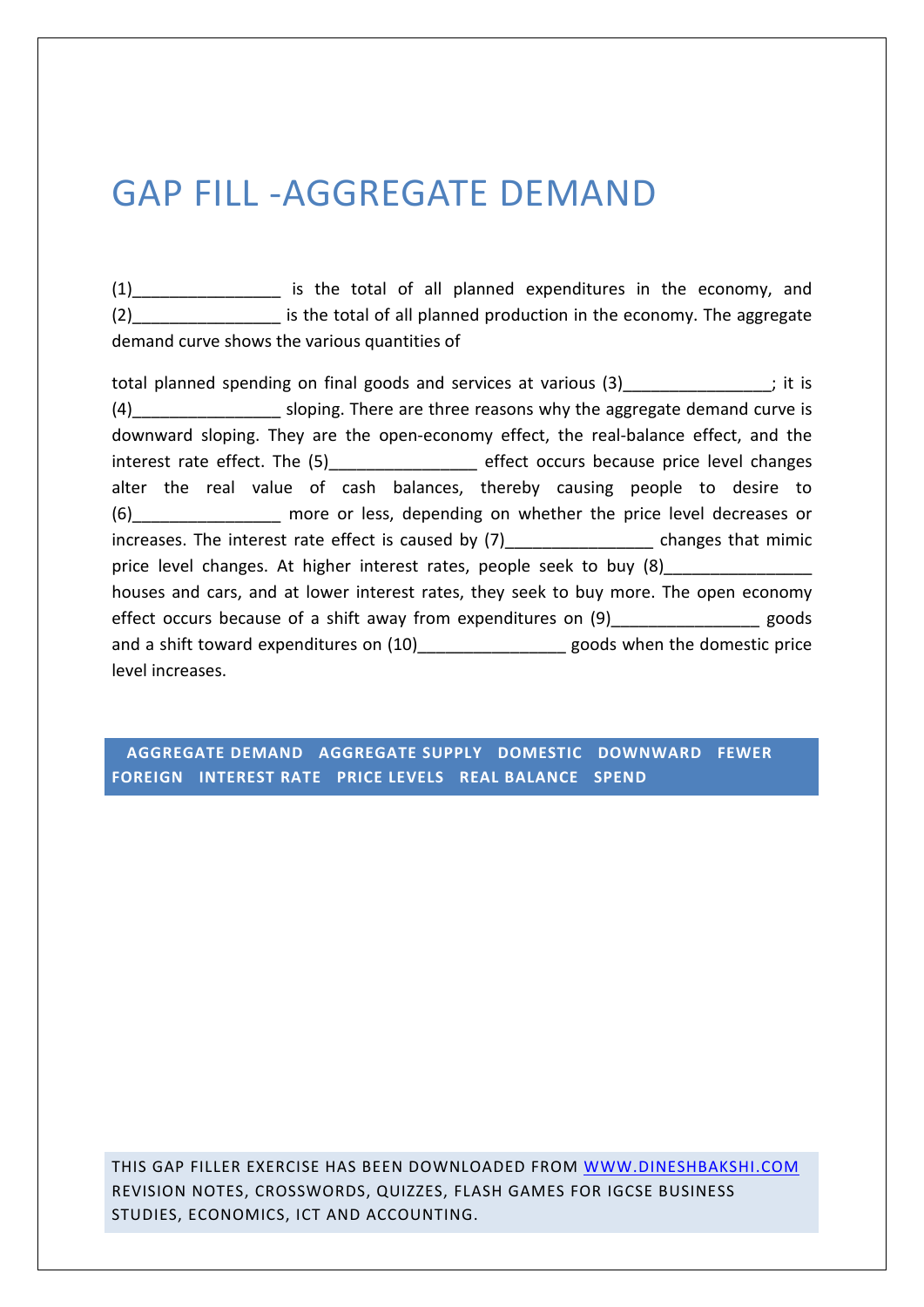## GAP FILL -AGGREGATE DEMAND

(1)\_\_\_\_\_\_\_\_\_\_\_\_\_\_\_\_ is the total of all planned expenditures in the economy, and (2) The simulation is the total of all planned production in the economy. The aggregate demand curve shows the various quantities of

| total planned spending on final goods and services at various (3) ______________; it is            |  |
|----------------------------------------------------------------------------------------------------|--|
| (4) ___________________________ sloping. There are three reasons why the aggregate demand curve is |  |
| downward sloping. They are the open-economy effect, the real-balance effect, and the               |  |
| interest rate effect. The (5)________________ effect occurs because price level changes            |  |
| alter the real value of cash balances, thereby causing people to desire to                         |  |
| (6) [6] more or less, depending on whether the price level decreases or                            |  |
| increases. The interest rate effect is caused by (7)_________________ changes that mimic           |  |
| price level changes. At higher interest rates, people seek to buy (8) [100]                        |  |
| houses and cars, and at lower interest rates, they seek to buy more. The open economy              |  |
| effect occurs because of a shift away from expenditures on (9)___________________ goods            |  |
| and a shift toward expenditures on (10)___________________goods when the domestic price            |  |
| level increases.                                                                                   |  |

## **AGGREGATE DEMAND AGGREGATE SUPPLY DOMESTIC DOWNWARD FEWER FOREIGN INTEREST RATE PRICE LEVELS REAL BALANCE SPEND**

THIS GAP FILLER EXERCISE HAS BEEN DOWNLOADED FROM WWW.DINESHBAKSHI.COM REVISION NOTES, CROSSWORDS, QUIZZES, FLASH GAMES FOR IGCSE BUSINESS STUDIES, ECONOMICS, ICT AND ACCOUNTING.